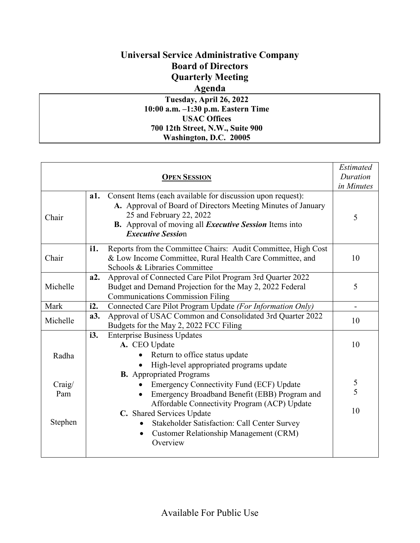## **Universal Service Administrative Company Board of Directors Quarterly Meeting**

## **Agenda**

**Tuesday, April 26, 2022 10:00 a.m. –1:30 p.m. Eastern Time USAC Offices 700 12th Street, N.W., Suite 900 Washington, D.C. 20005**

|               |     | <b>OPEN SESSION</b>                                                                                                                                                                                                                                         | Estimated<br>Duration<br>in Minutes |
|---------------|-----|-------------------------------------------------------------------------------------------------------------------------------------------------------------------------------------------------------------------------------------------------------------|-------------------------------------|
| Chair         | a1. | Consent Items (each available for discussion upon request):<br>A. Approval of Board of Directors Meeting Minutes of January<br>25 and February 22, 2022<br><b>B.</b> Approval of moving all <i>Executive Session</i> Items into<br><b>Executive Session</b> | 5                                   |
| Chair         | i1. | Reports from the Committee Chairs: Audit Committee, High Cost<br>& Low Income Committee, Rural Health Care Committee, and<br>Schools & Libraries Committee                                                                                                  | 10                                  |
| Michelle      | a2. | Approval of Connected Care Pilot Program 3rd Quarter 2022<br>Budget and Demand Projection for the May 2, 2022 Federal<br><b>Communications Commission Filing</b>                                                                                            | 5                                   |
| Mark          | i2. | Connected Care Pilot Program Update (For Information Only)                                                                                                                                                                                                  | $\overline{\phantom{0}}$            |
| Michelle      | a3. | Approval of USAC Common and Consolidated 3rd Quarter 2022<br>Budgets for the May 2, 2022 FCC Filing                                                                                                                                                         | 10                                  |
| Radha         | i3. | <b>Enterprise Business Updates</b><br>A. CEO Update<br>Return to office status update<br>High-level appropriated programs update<br><b>B.</b> Appropriated Programs                                                                                         | 10                                  |
| Craig/<br>Pam |     | <b>Emergency Connectivity Fund (ECF) Update</b><br>Emergency Broadband Benefit (EBB) Program and<br>Affordable Connectivity Program (ACP) Update<br>C. Shared Services Update                                                                               | $rac{5}{5}$<br>10                   |
| Stephen       |     | Stakeholder Satisfaction: Call Center Survey<br><b>Customer Relationship Management (CRM)</b><br>$\bullet$<br>Overview                                                                                                                                      |                                     |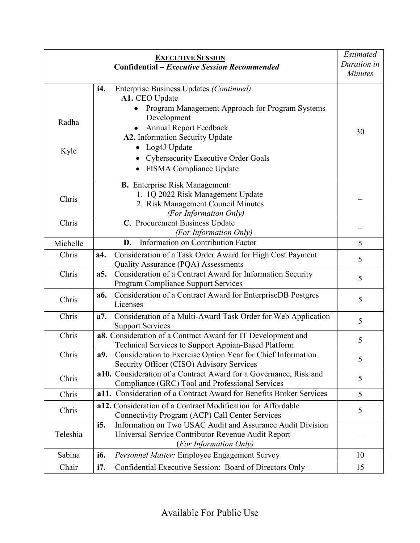|               | <b>EXECUTIVE SESSION</b>                                                                                                                                                                                                                                                                         | <b>Estimated</b> |
|---------------|--------------------------------------------------------------------------------------------------------------------------------------------------------------------------------------------------------------------------------------------------------------------------------------------------|------------------|
|               | <b>Confidential - Executive Session Recommended</b>                                                                                                                                                                                                                                              | Duration in      |
|               |                                                                                                                                                                                                                                                                                                  | <b>Minutes</b>   |
| Radha<br>Kyle | Enterprise Business Updates (Continued)<br><i>i</i> 4.<br>A1. CEO Update<br>Program Management Approach for Program Systems<br>Development<br><b>Annual Report Feedback</b><br>A2. Information Security Update<br>Log4J Update<br>Cybersecurity Executive Order Goals<br>FISMA Compliance Update | 30               |
| Chris         | <b>B.</b> Enterprise Risk Management:<br>1. 1Q 2022 Risk Management Update<br>2. Risk Management Council Minutes<br>(For Information Only)                                                                                                                                                       |                  |
| Chris         | C. Procurement Business Update<br>(For Information Only)                                                                                                                                                                                                                                         |                  |
| Michelle      | Information on Contribution Factor<br>D.                                                                                                                                                                                                                                                         | 5                |
| Chris         | Consideration of a Task Order Award for High Cost Payment<br>a4.<br>Quality Assurance (PQA) Assessments                                                                                                                                                                                          | 5                |
| Chris         | Consideration of a Contract Award for Information Security<br>a5.<br><b>Program Compliance Support Services</b>                                                                                                                                                                                  | 5                |
| Chris         | Consideration of a Contract Award for EnterpriseDB Postgres<br><b>a6.</b><br>Licenses                                                                                                                                                                                                            | 5                |
| Chris         | Consideration of a Multi-Award Task Order for Web Application<br>a7.<br><b>Support Services</b>                                                                                                                                                                                                  | 5                |
| Chris         | a8. Consideration of a Contract Award for IT Development and<br>Technical Services to Support Appian-Based Platform                                                                                                                                                                              | 5                |
| Chris         | Consideration to Exercise Option Year for Chief Information<br>a9.<br>Security Officer (CISO) Advisory Services                                                                                                                                                                                  | 5                |
| Chris         | a10. Consideration of a Contract Award for a Governance, Risk and<br>Compliance (GRC) Tool and Professional Services                                                                                                                                                                             | 5                |
| Chris         | a11. Consideration of a Contract Award for Benefits Broker Services                                                                                                                                                                                                                              | 5                |
| Chris         | a12. Consideration of a Contract Modification for Affordable<br>Connectivity Program (ACP) Call Center Services                                                                                                                                                                                  | 5                |
| Teleshia      | Information on Two USAC Audit and Assurance Audit Division<br><i>i</i> 5.<br>Universal Service Contributor Revenue Audit Report<br>(For Information Only)                                                                                                                                        |                  |
| Sabina        | <i>i</i> <sub>6</sub> .<br>Personnel Matter: Employee Engagement Survey                                                                                                                                                                                                                          | 10               |
| Chair         | i7.<br>Confidential Executive Session: Board of Directors Only                                                                                                                                                                                                                                   | 15               |